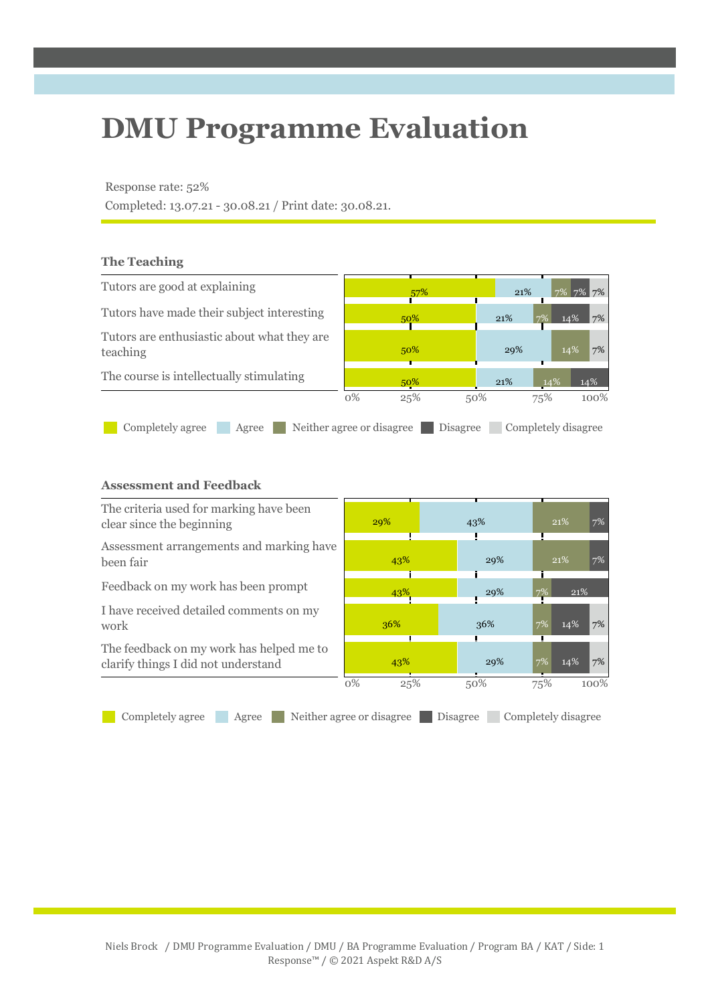# **DMU Programme Evaluation**

### Response rate: 52%

Completed: 13.07.21 - 30.08.21 / Print date: 30.08.21.

### **The Teaching**



#### **Assessment and Feedback**

| The criteria used for marking have been<br>clear since the beginning            | 29%                       | 43%      | 7%<br>21%           |
|---------------------------------------------------------------------------------|---------------------------|----------|---------------------|
| Assessment arrangements and marking have<br>been fair                           | 43%                       | 29%      | 7%<br>21%           |
| Feedback on my work has been prompt                                             | 43%                       | 29%      | 7%<br>21%           |
| I have received detailed comments on my<br>work                                 | 36%                       | 36%      | 7%<br>14%<br>7%     |
| The feedback on my work has helped me to<br>clarify things I did not understand | 43%                       | 29%      | 7%<br>7%<br>14%     |
|                                                                                 | 0%<br>25%                 | 50%      | 100%<br>75%         |
| Completely agree<br>Agree                                                       | Neither agree or disagree | Disagree | Completely disagree |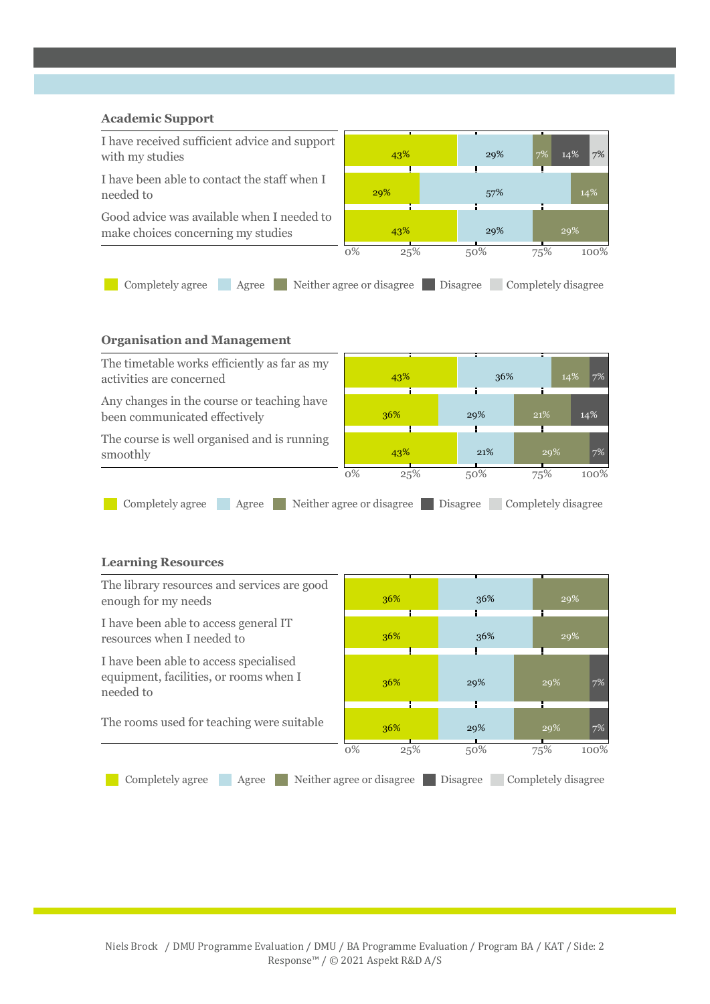

#### **Organisation and Management**



Completely agree Agree Neither agree or disagree Disagree Completely disagree

#### **Learning Resources**